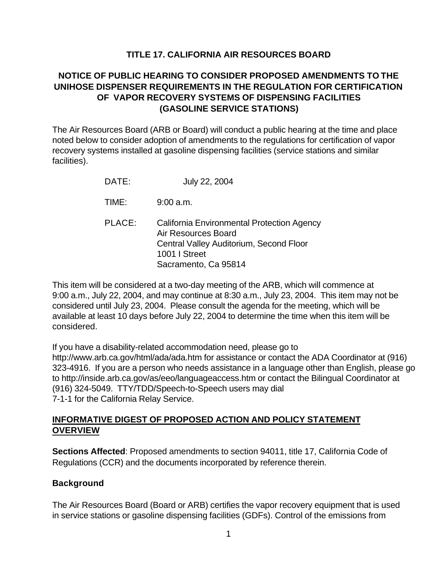# **TITLE 17. CALIFORNIA AIR RESOURCES BOARD**

# **NOTICE OF PUBLIC HEARING TO CONSIDER PROPOSED AMENDMENTS TO THE UNIHOSE DISPENSER REQUIREMENTS IN THE REGULATION FOR CERTIFICATION OF VAPOR RECOVERY SYSTEMS OF DISPENSING FACILITIES (GASOLINE SERVICE STATIONS)**

The Air Resources Board (ARB or Board) will conduct a public hearing at the time and place noted below to consider adoption of amendments to the regulations for certification of vapor recovery systems installed at gasoline dispensing facilities (service stations and similar facilities).

| DATE:  | July 22, 2004                                                                                                                 |
|--------|-------------------------------------------------------------------------------------------------------------------------------|
| TIME:  | 9:00 a.m.                                                                                                                     |
| PLACE: | California Environmental Protection Agency<br>Air Resources Board<br>Central Valley Auditorium, Second Floor<br>1001   Street |

Sacramento, Ca 95814

This item will be considered at a two-day meeting of the ARB, which will commence at 9:00 a.m., July 22, 2004, and may continue at 8:30 a.m., July 23, 2004. This item may not be considered until July 23, 2004. Please consult the agenda for the meeting, which will be available at least 10 days before July 22, 2004 to determine the time when this item will be considered.

If you have a disability-related accommodation need, please go to <http://www.arb.ca.gov/html/ada/ada.htm>for assistance or contact the ADA Coordinator at (916) 323-4916. If you are a person who needs assistance in a language other than English, please go to<http://inside.arb.ca.gov/as/eeo/languageaccess.htm>or contact the Bilingual Coordinator at (916) 324-5049. TTY/TDD/Speech-to-Speech users may dial 7-1-1 for the California Relay Service.

#### **INFORMATIVE DIGEST OF PROPOSED ACTION AND POLICY STATEMENT OVERVIEW**

**Sections Affected**: Proposed amendments to section 94011, title 17, California Code of Regulations (CCR) and the documents incorporated by reference therein.

## **Background**

The Air Resources Board (Board or ARB) certifies the vapor recovery equipment that is used in service stations or gasoline dispensing facilities (GDFs). Control of the emissions from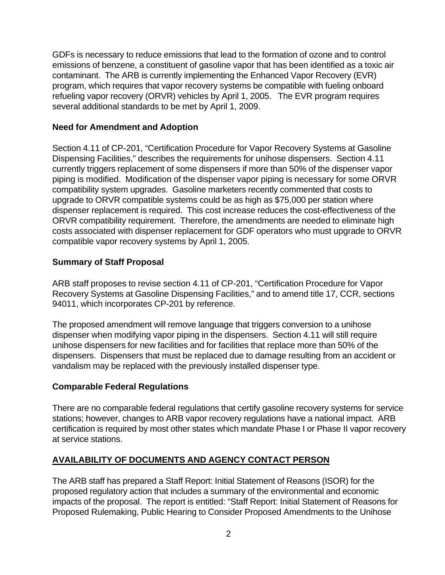GDFs is necessary to reduce emissions that lead to the formation of ozone and to control emissions of benzene, a constituent of gasoline vapor that has been identified as a toxic air contaminant. The ARB is currently implementing the Enhanced Vapor Recovery (EVR) program, which requires that vapor recovery systems be compatible with fueling onboard refueling vapor recovery (ORVR) vehicles by April 1, 2005. The EVR program requires several additional standards to be met by April 1, 2009.

#### **Need for Amendment and Adoption**

Section 4.11 of CP-201, "Certification Procedure for Vapor Recovery Systems at Gasoline Dispensing Facilities," describes the requirements for unihose dispensers. Section 4.11 currently triggers replacement of some dispensers if more than 50% of the dispenser vapor piping is modified. Modification of the dispenser vapor piping is necessary for some ORVR compatibility system upgrades. Gasoline marketers recently commented that costs to upgrade to ORVR compatible systems could be as high as \$75,000 per station where dispenser replacement is required. This cost increase reduces the cost-effectiveness of the ORVR compatibility requirement. Therefore, the amendments are needed to eliminate high costs associated with dispenser replacement for GDF operators who must upgrade to ORVR compatible vapor recovery systems by April 1, 2005.

## **Summary of Staff Proposal**

ARB staff proposes to revise section 4.11 of CP-201, "Certification Procedure for Vapor Recovery Systems at Gasoline Dispensing Facilities," and to amend title 17, CCR, sections 94011, which incorporates CP-201 by reference.

The proposed amendment will remove language that triggers conversion to a unihose dispenser when modifying vapor piping in the dispensers. Section 4.11 will still require unihose dispensers for new facilities and for facilities that replace more than 50% of the dispensers. Dispensers that must be replaced due to damage resulting from an accident or vandalism may be replaced with the previously installed dispenser type.

## **Comparable Federal Regulations**

There are no comparable federal regulations that certify gasoline recovery systems for service stations; however, changes to ARB vapor recovery regulations have a national impact. ARB certification is required by most other states which mandate Phase I or Phase II vapor recovery at service stations.

## **AVAILABILITY OF DOCUMENTS AND AGENCY CONTACT PERSON**

The ARB staff has prepared a Staff Report: Initial Statement of Reasons (ISOR) for the proposed regulatory action that includes a summary of the environmental and economic impacts of the proposal. The report is entitled: "Staff Report: Initial Statement of Reasons for Proposed Rulemaking, Public Hearing to Consider Proposed Amendments to the Unihose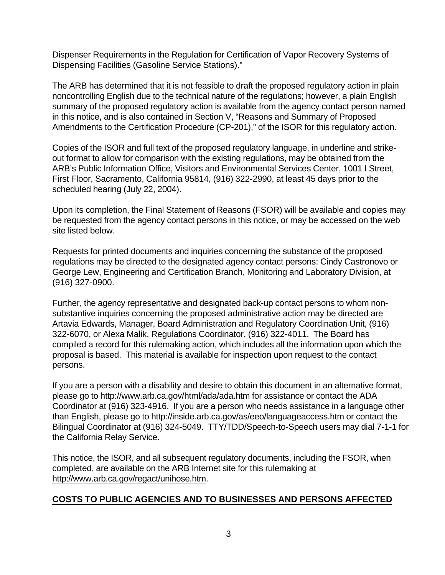Dispenser Requirements in the Regulation for Certification of Vapor Recovery Systems of Dispensing Facilities (Gasoline Service Stations)."

The ARB has determined that it is not feasible to draft the proposed regulatory action in plain noncontrolling English due to the technical nature of the regulations; however, a plain English summary of the proposed regulatory action is available from the agency contact person named in this notice, and is also contained in Section V, "Reasons and Summary of Proposed Amendments to the Certification Procedure (CP-201)," of the ISOR for this regulatory action.

Copies of the ISOR and full text of the proposed regulatory language, in underline and strikeout format to allow for comparison with the existing regulations, may be obtained from the ARB's Public Information Office, Visitors and Environmental Services Center, 1001 I Street, First Floor, Sacramento, California 95814, (916) 322-2990, at least 45 days prior to the scheduled hearing (July 22, 2004).

Upon its completion, the Final Statement of Reasons (FSOR) will be available and copies may be requested from the agency contact persons in this notice, or may be accessed on the web site listed below.

Requests for printed documents and inquiries concerning the substance of the proposed regulations may be directed to the designated agency contact persons: Cindy Castronovo or George Lew, Engineering and Certification Branch, Monitoring and Laboratory Division, at (916) 327-0900.

Further, the agency representative and designated back-up contact persons to whom nonsubstantive inquiries concerning the proposed administrative action may be directed are Artavia Edwards, Manager, Board Administration and Regulatory Coordination Unit, (916) 322-6070, or Alexa Malik, Regulations Coordinator, (916) 322-4011. The Board has compiled a record for this rulemaking action, which includes all the information upon which the proposal is based. This material is available for inspection upon request to the contact persons.

If you are a person with a disability and desire to obtain this document in an alternative format, please go to<http://www.arb.ca.gov/html/ada/ada.htm>for assistance or contact the ADA Coordinator at (916) 323-4916. If you are a person who needs assistance in a language other than English, please go to<http://inside.arb.ca.gov/as/eeo/languageaccess.htm>or contact the Bilingual Coordinator at (916) 324-5049. TTY/TDD/Speech-to-Speech users may dial 7-1-1 for the California Relay Service.

This notice, the ISOR, and all subsequent regulatory documents, including the FSOR, when completed, are available on the ARB Internet site for this rulemaking at [http://www.arb.ca.gov/regact/unihose.htm.](http://www.arb.ca.gov/regact/unihose.htm)

## **COSTS TO PUBLIC AGENCIES AND TO BUSINESSES AND PERSONS AFFECTED**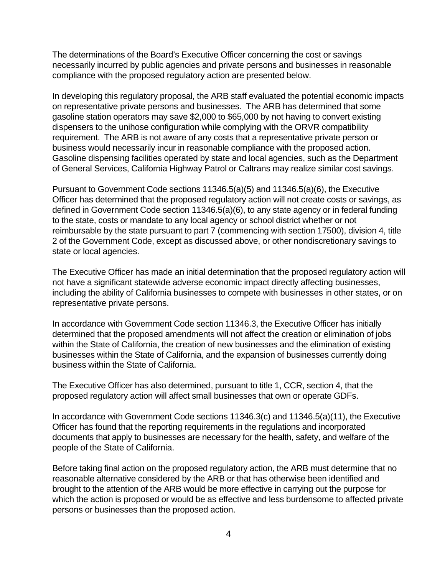The determinations of the Board's Executive Officer concerning the cost or savings necessarily incurred by public agencies and private persons and businesses in reasonable compliance with the proposed regulatory action are presented below.

In developing this regulatory proposal, the ARB staff evaluated the potential economic impacts on representative private persons and businesses. The ARB has determined that some gasoline station operators may save \$2,000 to \$65,000 by not having to convert existing dispensers to the unihose configuration while complying with the ORVR compatibility requirement. The ARB is not aware of any costs that a representative private person or business would necessarily incur in reasonable compliance with the proposed action. Gasoline dispensing facilities operated by state and local agencies, such as the Department of General Services, California Highway Patrol or Caltrans may realize similar cost savings.

Pursuant to Government Code sections 11346.5(a)(5) and 11346.5(a)(6), the Executive Officer has determined that the proposed regulatory action will not create costs or savings, as defined in Government Code section 11346.5(a)(6), to any state agency or in federal funding to the state, costs or mandate to any local agency or school district whether or not reimbursable by the state pursuant to part 7 (commencing with section 17500), division 4, title 2 of the Government Code, except as discussed above, or other nondiscretionary savings to state or local agencies.

The Executive Officer has made an initial determination that the proposed regulatory action will not have a significant statewide adverse economic impact directly affecting businesses, including the ability of California businesses to compete with businesses in other states, or on representative private persons.

In accordance with Government Code section 11346.3, the Executive Officer has initially determined that the proposed amendments will not affect the creation or elimination of jobs within the State of California, the creation of new businesses and the elimination of existing businesses within the State of California, and the expansion of businesses currently doing business within the State of California.

The Executive Officer has also determined, pursuant to title 1, CCR, section 4, that the proposed regulatory action will affect small businesses that own or operate GDFs.

In accordance with Government Code sections 11346.3(c) and 11346.5(a)(11), the Executive Officer has found that the reporting requirements in the regulations and incorporated documents that apply to businesses are necessary for the health, safety, and welfare of the people of the State of California.

Before taking final action on the proposed regulatory action, the ARB must determine that no reasonable alternative considered by the ARB or that has otherwise been identified and brought to the attention of the ARB would be more effective in carrying out the purpose for which the action is proposed or would be as effective and less burdensome to affected private persons or businesses than the proposed action.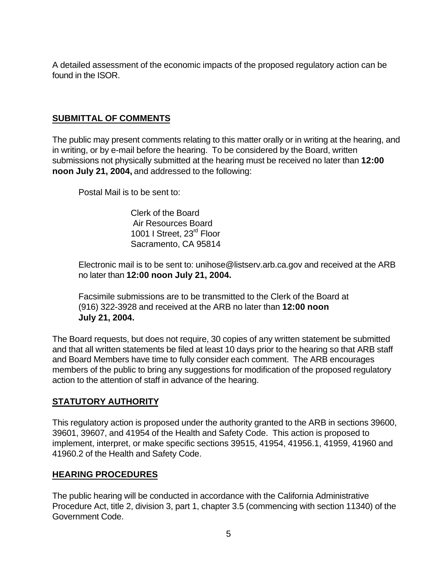A detailed assessment of the economic impacts of the proposed regulatory action can be found in the ISOR.

## **SUBMITTAL OF COMMENTS**

The public may present comments relating to this matter orally or in writing at the hearing, and in writing, or by e-mail before the hearing. To be considered by the Board, written submissions not physically submitted at the hearing must be received no later than **12:00 noon July 21, 2004,** and addressed to the following:

Postal Mail is to be sent to:

Clerk of the Board Air Resources Board 1001 I Street, 23<sup>rd</sup> Floor Sacramento, CA 95814

Electronic mail is to be sent to: [unihose@listserv.arb.ca.gov](mailto:unihose@listserv.arb.ca.gov) and received at the ARB no later than **12:00 noon July 21, 2004.** 

Facsimile submissions are to be transmitted to the Clerk of the Board at (916) 322-3928 and received at the ARB no later than **12:00 noon July 21, 2004.** 

The Board requests, but does not require, 30 copies of any written statement be submitted and that all written statements be filed at least 10 days prior to the hearing so that ARB staff and Board Members have time to fully consider each comment. The ARB encourages members of the public to bring any suggestions for modification of the proposed regulatory action to the attention of staff in advance of the hearing.

## **STATUTORY AUTHORITY**

This regulatory action is proposed under the authority granted to the ARB in sections 39600, 39601, 39607, and 41954 of the Health and Safety Code. This action is proposed to implement, interpret, or make specific sections 39515, 41954, 41956.1, 41959, 41960 and 41960.2 of the Health and Safety Code.

#### **HEARING PROCEDURES**

The public hearing will be conducted in accordance with the California Administrative Procedure Act, title 2, division 3, part 1, chapter 3.5 (commencing with section 11340) of the Government Code.